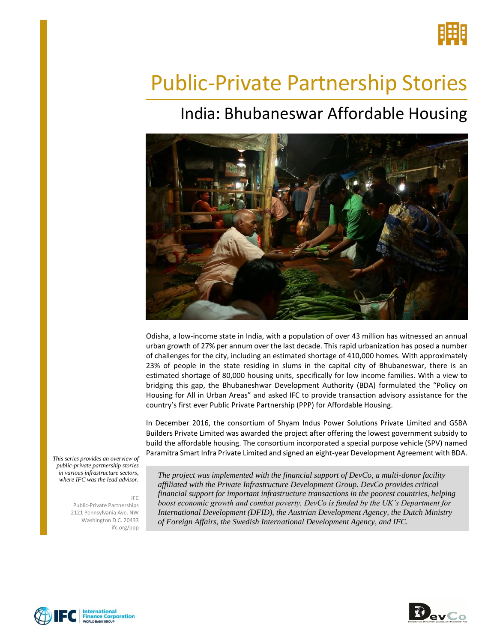

# Public-Private Partnership Stories

## India: Bhubaneswar Affordable Housing



Odisha, a low-income state in India, with a population of over 43 million has witnessed an annual urban growth of 27% per annum over the last decade. This rapid urbanization has posed a number of challenges for the city, including an estimated shortage of 410,000 homes. With approximately 23% of people in the state residing in slums in the capital city of Bhubaneswar, there is an estimated shortage of 80,000 housing units, specifically for low income families. With a view to bridging this gap, the Bhubaneshwar Development Authority (BDA) formulated the "Policy on Housing for All in Urban Areas" and asked IFC to provide transaction advisory assistance for the country's first ever Public Private Partnership (PPP) for Affordable Housing.

In December 2016, the consortium of Shyam Indus Power Solutions Private Limited and GSBA Builders Private Limited was awarded the project after offering the lowest government subsidy to build the affordable housing. The consortium incorporated a special purpose vehicle (SPV) named Paramitra Smart Infra Private Limited and signed an eight-year Development Agreement with BDA.

*This series provides an overview of public-private partnership stories in various infrastructure sectors, where IFC was the lead advisor.* 

IFC

Public-Private Partnerships 2121 Pennsylvania Ave. NW Washington D.C. 20433 ifc.org/ppp

*The project was implemented with the financial support of DevCo, a multi-donor facility affiliated with the Private Infrastructure Development Group. DevCo provides critical financial support for important infrastructure transactions in the poorest countries, helping boost economic growth and combat poverty. DevCo is funded by the UK's Department for International Development (DFID), the Austrian Development Agency, the Dutch Ministry of Foreign Affairs, the Swedish International Development Agency, and IFC.*